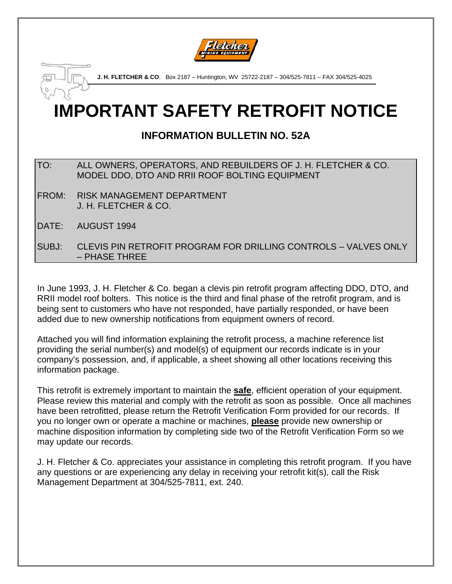

**IMPORTANT SAFETY RETROFIT NOTICE J. H. FLETCHER & CO**. Box 2187 – Huntington, WV 25722-2187 – 304/525-7811 – FAX 304/525-4025

# **INFORMATION BULLETIN NO. 52A**

- TO: ALL OWNERS, OPERATORS, AND REBUILDERS OF J. H. FLETCHER & CO. MODEL DDO, DTO AND RRII ROOF BOLTING EQUIPMENT
- FROM: RISK MANAGEMENT DEPARTMENT J. H. FLETCHER & CO.
- DATE: AUGUST 1994

SUBJ: CLEVIS PIN RETROFIT PROGRAM FOR DRILLING CONTROLS – VALVES ONLY – PHASE THREE

In June 1993, J. H. Fletcher & Co. began a clevis pin retrofit program affecting DDO, DTO, and RRII model roof bolters. This notice is the third and final phase of the retrofit program, and is being sent to customers who have not responded, have partially responded, or have been added due to new ownership notifications from equipment owners of record.

Attached you will find information explaining the retrofit process, a machine reference list providing the serial number(s) and model(s) of equipment our records indicate is in your company's possession, and, if applicable, a sheet showing all other locations receiving this information package.

This retrofit is extremely important to maintain the **safe**, efficient operation of your equipment. Please review this material and comply with the retrofit as soon as possible. Once all machines have been retrofitted, please return the Retrofit Verification Form provided for our records. If you no longer own or operate a machine or machines, **please** provide new ownership or machine disposition information by completing side two of the Retrofit Verification Form so we may update our records.

J. H. Fletcher & Co. appreciates your assistance in completing this retrofit program. If you have any questions or are experiencing any delay in receiving your retrofit kit(s), call the Risk Management Department at 304/525-7811, ext. 240.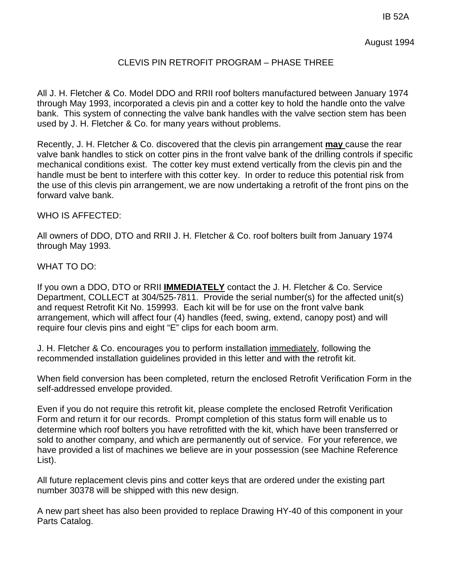IB 52A

August 1994

# CLEVIS PIN RETROFIT PROGRAM – PHASE THREE

All J. H. Fletcher & Co. Model DDO and RRII roof bolters manufactured between January 1974 through May 1993, incorporated a clevis pin and a cotter key to hold the handle onto the valve bank. This system of connecting the valve bank handles with the valve section stem has been used by J. H. Fletcher & Co. for many years without problems.

Recently, J. H. Fletcher & Co. discovered that the clevis pin arrangement **may** cause the rear valve bank handles to stick on cotter pins in the front valve bank of the drilling controls if specific mechanical conditions exist. The cotter key must extend vertically from the clevis pin and the handle must be bent to interfere with this cotter key. In order to reduce this potential risk from the use of this clevis pin arrangement, we are now undertaking a retrofit of the front pins on the forward valve bank.

# WHO IS AFFECTED:

All owners of DDO, DTO and RRII J. H. Fletcher & Co. roof bolters built from January 1974 through May 1993.

## WHAT TO DO:

If you own a DDO, DTO or RRII **IMMEDIATELY** contact the J. H. Fletcher & Co. Service Department, COLLECT at 304/525-7811. Provide the serial number(s) for the affected unit(s) and request Retrofit Kit No. 159993. Each kit will be for use on the front valve bank arrangement, which will affect four (4) handles (feed, swing, extend, canopy post) and will require four clevis pins and eight "E" clips for each boom arm.

J. H. Fletcher & Co. encourages you to perform installation immediately, following the recommended installation guidelines provided in this letter and with the retrofit kit.

When field conversion has been completed, return the enclosed Retrofit Verification Form in the self-addressed envelope provided.

Even if you do not require this retrofit kit, please complete the enclosed Retrofit Verification Form and return it for our records. Prompt completion of this status form will enable us to determine which roof bolters you have retrofitted with the kit, which have been transferred or sold to another company, and which are permanently out of service. For your reference, we have provided a list of machines we believe are in your possession (see Machine Reference List).

All future replacement clevis pins and cotter keys that are ordered under the existing part number 30378 will be shipped with this new design.

A new part sheet has also been provided to replace Drawing HY-40 of this component in your Parts Catalog.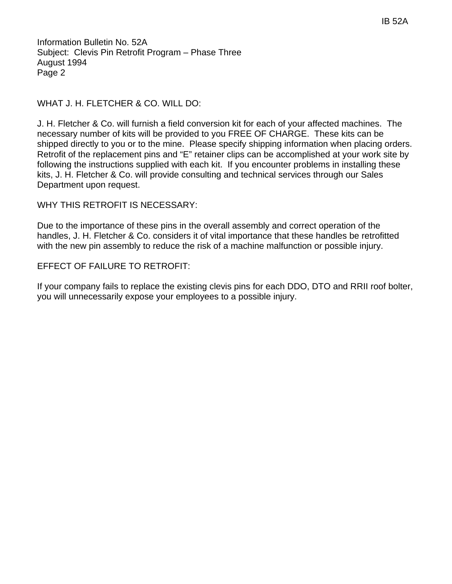Information Bulletin No. 52A Subject: Clevis Pin Retrofit Program – Phase Three August 1994 Page 2

# WHAT J. H. FLETCHER & CO. WILL DO:

J. H. Fletcher & Co. will furnish a field conversion kit for each of your affected machines. The necessary number of kits will be provided to you FREE OF CHARGE. These kits can be shipped directly to you or to the mine. Please specify shipping information when placing orders. Retrofit of the replacement pins and "E" retainer clips can be accomplished at your work site by following the instructions supplied with each kit. If you encounter problems in installing these kits, J. H. Fletcher & Co. will provide consulting and technical services through our Sales Department upon request.

WHY THIS RETROFIT IS NECESSARY:

Due to the importance of these pins in the overall assembly and correct operation of the handles, J. H. Fletcher & Co. considers it of vital importance that these handles be retrofitted with the new pin assembly to reduce the risk of a machine malfunction or possible injury.

## EFFECT OF FAILURE TO RETROFIT:

If your company fails to replace the existing clevis pins for each DDO, DTO and RRII roof bolter, you will unnecessarily expose your employees to a possible injury.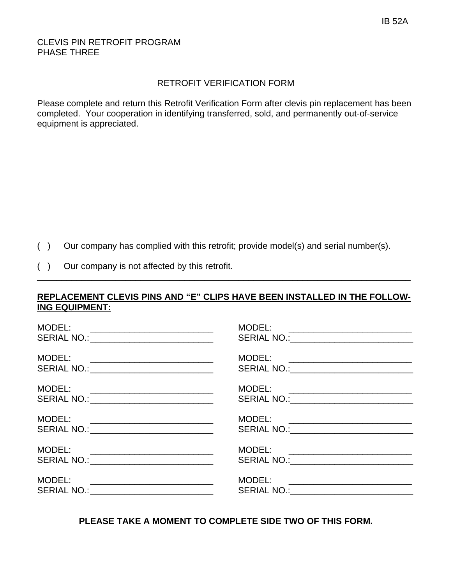# CLEVIS PIN RETROFIT PROGRAM PHASE THREE

# RETROFIT VERIFICATION FORM

Please complete and return this Retrofit Verification Form after clevis pin replacement has been completed. Your cooperation in identifying transferred, sold, and permanently out-of-service equipment is appreciated.

- ( ) Our company has complied with this retrofit; provide model(s) and serial number(s).
- ( ) Our company is not affected by this retrofit.

# **REPLACEMENT CLEVIS PINS AND "E" CLIPS HAVE BEEN INSTALLED IN THE FOLLOW-ING EQUIPMENT:**

\_\_\_\_\_\_\_\_\_\_\_\_\_\_\_\_\_\_\_\_\_\_\_\_\_\_\_\_\_\_\_\_\_\_\_\_\_\_\_\_\_\_\_\_\_\_\_\_\_\_\_\_\_\_\_\_\_\_\_\_\_\_\_\_\_\_\_\_\_\_\_\_\_\_\_\_

| MODEL:<br><u> 1980 - Andrea Andrews, amerikansk politik (</u><br>SERIAL NO.: _____________________________                              | MODEL: ___________________________<br>SERIAL NO.: ___________________________  |
|-----------------------------------------------------------------------------------------------------------------------------------------|--------------------------------------------------------------------------------|
| MODEL:<br>SERIAL NO.: _____________________________                                                                                     |                                                                                |
| MODEL:<br><u> 1980 - Jan Barnett, fransk politiker og den som andre og det for det s</u><br>SERIAL NO.: _______________________________ | MODEL: ___________________________                                             |
| MODEL:<br><u> 1989 - Jan Barbara, manazarta bashkar a shekara ta 1989 - Andrea San A</u><br>SERIAL NO.: _____________________________   | MODEL: __________________________<br>SERIAL NO.:___________________________    |
| MODEL:<br><u> 2000 - Jan Barnett, mars et al. (</u><br>SERIAL NO.: ______________________________                                       | MODEL: __________________________<br>SERIAL NO.:______________________________ |
| MODEL:<br>SERIAL NO.: ______________________________                                                                                    | MODEL: _____________________________<br>SERIAL NO.:___________________________ |

**PLEASE TAKE A MOMENT TO COMPLETE SIDE TWO OF THIS FORM.**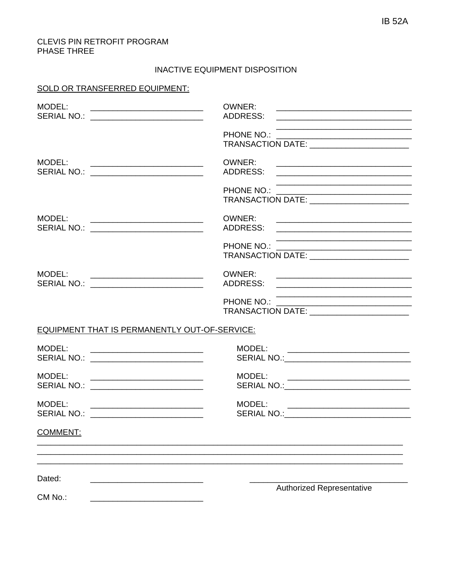#### CLEVIS PIN RETROFIT PROGRAM PHASE THREE

#### INACTIVE EQUIPMENT DISPOSITION

## SOLD OR TRANSFERRED EQUIPMENT:

| MODEL:<br>SERIAL NO.: ___________________________                                                                                                                           | OWNER:<br>ADDRESS:                                                                                                             |  |
|-----------------------------------------------------------------------------------------------------------------------------------------------------------------------------|--------------------------------------------------------------------------------------------------------------------------------|--|
|                                                                                                                                                                             | PHONE NO.:<br>TRANSACTION DATE: ___________________________                                                                    |  |
| MODEL:<br>SERIAL NO.: ______________________________                                                                                                                        | OWNER:                                                                                                                         |  |
|                                                                                                                                                                             | TRANSACTION DATE: ________________________                                                                                     |  |
| MODEL:<br>SERIAL NO.: ___________________________                                                                                                                           | OWNER:                                                                                                                         |  |
|                                                                                                                                                                             |                                                                                                                                |  |
| MODEL:<br>SERIAL NO.: _________________________                                                                                                                             | OWNER:                                                                                                                         |  |
|                                                                                                                                                                             |                                                                                                                                |  |
| EQUIPMENT THAT IS PERMANENTLY OUT-OF-SERVICE:                                                                                                                               |                                                                                                                                |  |
| MODEL:<br><u> 1989 - Jan Samuel Barbara, margaret eta idazlea (h. 1982).</u><br>SERIAL NO.: _____________________________                                                   | MODEL:<br><u> 1980 - Johann Stein, mars and de Britannie (b. 1980)</u>                                                         |  |
| MODEL:<br><u> 2002 - Jan James James Jan James James James James James James James James James James James James James James</u><br>SERIAL NO.: ___________________________ | MODEL:<br><u> 1980 - Jan James James Barnett, fizik ar fizik ar fizik ar fizik ar fizik ar fizik ar fizik ar fizik ar fizi</u> |  |
| MODEL:<br>SERIAL NO.: __________________________                                                                                                                            | MODEL:                                                                                                                         |  |
| <b>COMMENT:</b>                                                                                                                                                             |                                                                                                                                |  |
| Dated:                                                                                                                                                                      |                                                                                                                                |  |
| CM No.                                                                                                                                                                      | <b>Authorized Representative</b>                                                                                               |  |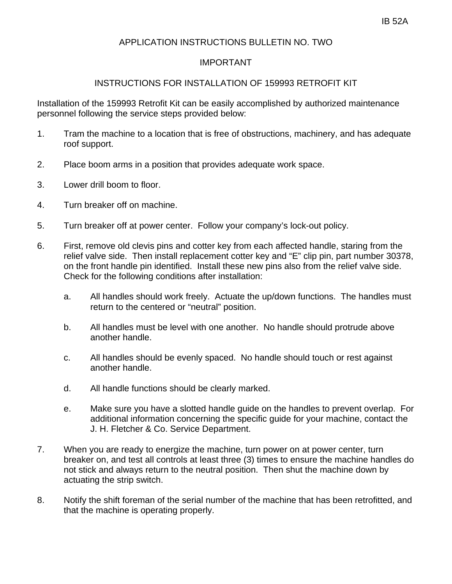# APPLICATION INSTRUCTIONS BULLETIN NO. TWO

# IMPORTANT

# INSTRUCTIONS FOR INSTALLATION OF 159993 RETROFIT KIT

Installation of the 159993 Retrofit Kit can be easily accomplished by authorized maintenance personnel following the service steps provided below:

- 1. Tram the machine to a location that is free of obstructions, machinery, and has adequate roof support.
- 2. Place boom arms in a position that provides adequate work space.
- 3. Lower drill boom to floor.
- 4. Turn breaker off on machine.
- 5. Turn breaker off at power center. Follow your company's lock-out policy.
- 6. First, remove old clevis pins and cotter key from each affected handle, staring from the relief valve side. Then install replacement cotter key and "E" clip pin, part number 30378, on the front handle pin identified. Install these new pins also from the relief valve side. Check for the following conditions after installation:
	- a. All handles should work freely. Actuate the up/down functions. The handles must return to the centered or "neutral" position.
	- b. All handles must be level with one another. No handle should protrude above another handle.
	- c. All handles should be evenly spaced. No handle should touch or rest against another handle.
	- d. All handle functions should be clearly marked.
	- e. Make sure you have a slotted handle guide on the handles to prevent overlap. For additional information concerning the specific guide for your machine, contact the J. H. Fletcher & Co. Service Department.
- 7. When you are ready to energize the machine, turn power on at power center, turn breaker on, and test all controls at least three (3) times to ensure the machine handles do not stick and always return to the neutral position. Then shut the machine down by actuating the strip switch.
- 8. Notify the shift foreman of the serial number of the machine that has been retrofitted, and that the machine is operating properly.